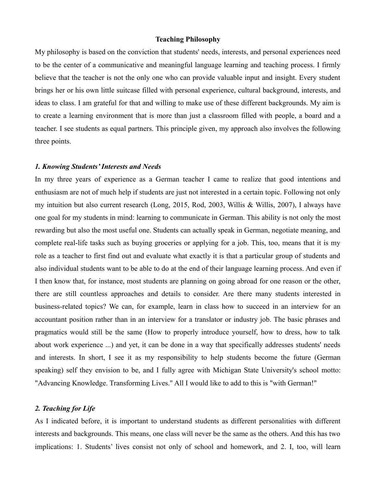#### **Teaching Philosophy**

My philosophy is based on the conviction that students' needs, interests, and personal experiences need to be the center of a communicative and meaningful language learning and teaching process. I firmly believe that the teacher is not the only one who can provide valuable input and insight. Every student brings her or his own little suitcase filled with personal experience, cultural background, interests, and ideas to class. I am grateful for that and willing to make use of these different backgrounds. My aim is to create a learning environment that is more than just a classroom filled with people, a board and a teacher. I see students as equal partners. This principle given, my approach also involves the following three points.

# *1. Knowing Students' Interests and Needs*

In my three years of experience as a German teacher I came to realize that good intentions and enthusiasm are not of much help if students are just not interested in a certain topic. Following not only my intuition but also current research (Long, 2015, Rod, 2003, Willis & Willis, 2007), I always have one goal for my students in mind: learning to communicate in German. This ability is not only the most rewarding but also the most useful one. Students can actually speak in German, negotiate meaning, and complete real-life tasks such as buying groceries or applying for a job. This, too, means that it is my role as a teacher to first find out and evaluate what exactly it is that a particular group of students and also individual students want to be able to do at the end of their language learning process. And even if I then know that, for instance, most students are planning on going abroad for one reason or the other, there are still countless approaches and details to consider. Are there many students interested in business-related topics? We can, for example, learn in class how to succeed in an interview for an accountant position rather than in an interview for a translator or industry job. The basic phrases and pragmatics would still be the same (How to properly introduce yourself, how to dress, how to talk about work experience ...) and yet, it can be done in a way that specifically addresses students' needs and interests. In short, I see it as my responsibility to help students become the future (German speaking) self they envision to be, and I fully agree with Michigan State University's school motto: "Advancing Knowledge. Transforming Lives." All I would like to add to this is "with German!"

## *2. Teaching for Life*

As I indicated before, it is important to understand students as different personalities with different interests and backgrounds. This means, one class will never be the same as the others. And this has two implications: 1. Students' lives consist not only of school and homework, and 2. I, too, will learn